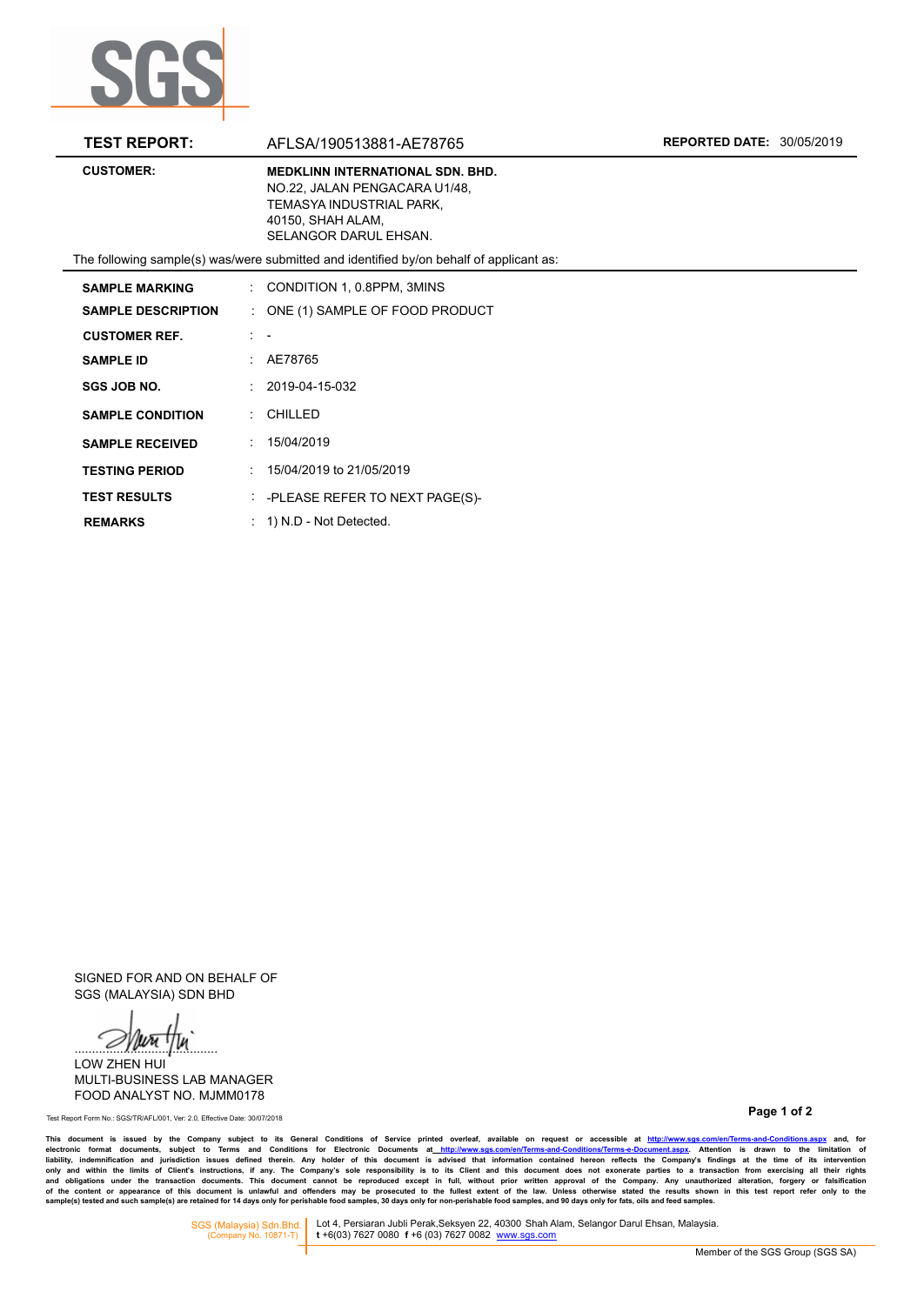

| <b>TEST REPORT:</b>       | AFLSA/190513881-AE78765                                                                                                                            | <b>REPORTED DATE: 30/05/2019</b> |
|---------------------------|----------------------------------------------------------------------------------------------------------------------------------------------------|----------------------------------|
| <b>CUSTOMER:</b>          | <b>MEDKLINN INTERNATIONAL SDN. BHD.</b><br>NO.22, JALAN PENGACARA U1/48,<br>TEMASYA INDUSTRIAL PARK.<br>40150, SHAH ALAM,<br>SELANGOR DARUL EHSAN. |                                  |
|                           | The following sample(s) was/were submitted and identified by/on behalf of applicant as:                                                            |                                  |
| <b>SAMPLE MARKING</b>     | $\therefore$ CONDITION 1, 0.8PPM, 3MINS                                                                                                            |                                  |
| <b>SAMPLE DESCRIPTION</b> | $\therefore$ ONE (1) SAMPLE OF FOOD PRODUCT                                                                                                        |                                  |
| <b>CUSTOMER REF.</b>      | $1 - -$                                                                                                                                            |                                  |
| <b>SAMPLE ID</b>          | : AE78765                                                                                                                                          |                                  |
| <b>SGS JOB NO.</b>        | $: 2019 - 04 - 15 - 032$                                                                                                                           |                                  |
| <b>SAMPLE CONDITION</b>   | $:$ CHILLED                                                                                                                                        |                                  |
| <b>SAMPLE RECEIVED</b>    | 15/04/2019                                                                                                                                         |                                  |
| <b>TESTING PERIOD</b>     | $: 15/04/2019$ to 21/05/2019                                                                                                                       |                                  |
| <b>TEST RESULTS</b>       | $\therefore$ -PLEASE REFER TO NEXT PAGE(S)-                                                                                                        |                                  |
| <b>REMARKS</b>            | $: 1)$ N.D - Not Detected.                                                                                                                         |                                  |

SIGNED FOR AND ON BEHALF OF SGS (MALAYSIA) SDN BHD

 $\mathscr{D}$ lurittu

LOW ZHEN HUI MULTI-BUSINESS LAB MANAGER FOOD ANALYST NO. MJMM0178

**Page 1 of 2** Test Report Form No.: SGS/TR/AFL/001, Ver: 2.0, Effective Date: 30/07/2018

This document is issued by the Company subject to its General Conditions of Service printed overleaf, available on request or accessible at http://www.sgs.com/en/Terms-and-Conditions.aspx and, for electronic format your st

SGS (Malaysia) Sdn.Bhd. Lot 4, Persiaran Jubli Perak,Seksyen 22, 40300 Shah Alam, Selangor Darul Ehsan, Malaysia.<br>(Company No. 10871-T) **t** +6(03) 7627 0080 f +6 (03) 7627 0082 www.sgs.com